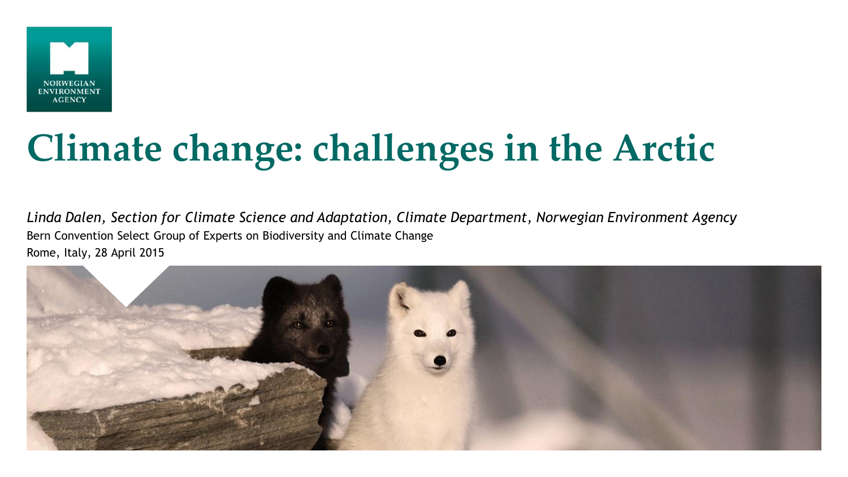

# **Climate change: challenges in the Arctic**

*Linda Dalen, Section for Climate Science and Adaptation, Climate Department, Norwegian Environment Agency* Bern Convention Select Group of Experts on Biodiversity and Climate Change Rome, Italy, 28 April 2015

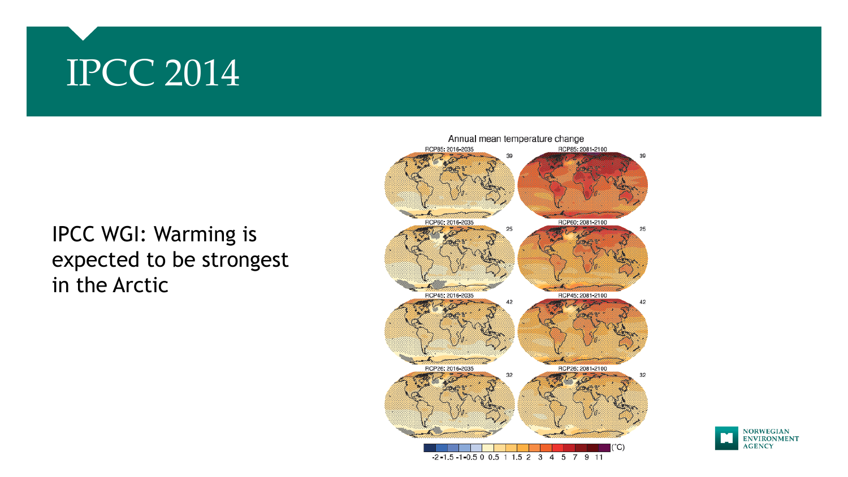### IPCC 2014

### IPCC WGI: Warming is expected to be strongest in the Arctic



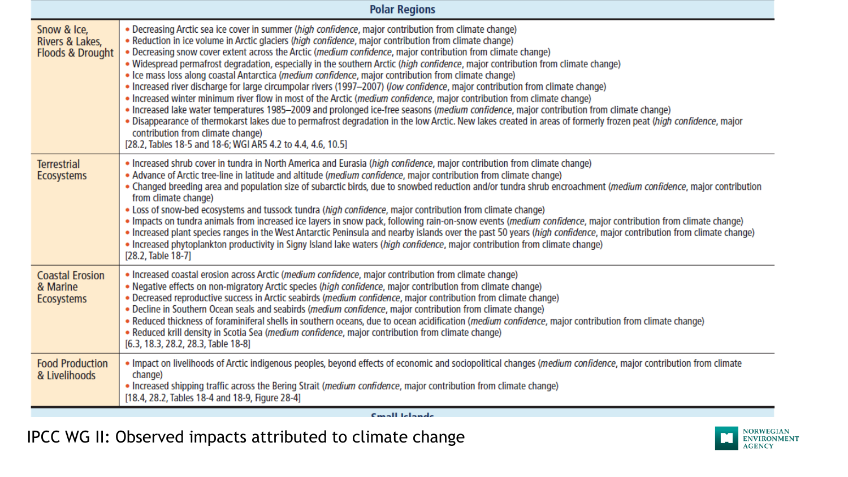| <b>Polar Regions</b>                                          |                                                                                                                                                                                                                                                                                                                                                                                                                                                                                                                                                                                                                                                                                                                                                                                                                                                                                                                                                                                                                                                                                                                                                                                                                                                             |
|---------------------------------------------------------------|-------------------------------------------------------------------------------------------------------------------------------------------------------------------------------------------------------------------------------------------------------------------------------------------------------------------------------------------------------------------------------------------------------------------------------------------------------------------------------------------------------------------------------------------------------------------------------------------------------------------------------------------------------------------------------------------------------------------------------------------------------------------------------------------------------------------------------------------------------------------------------------------------------------------------------------------------------------------------------------------------------------------------------------------------------------------------------------------------------------------------------------------------------------------------------------------------------------------------------------------------------------|
| Snow & Ice,<br>Rivers & Lakes,<br><b>Floods &amp; Drought</b> | . Decreasing Arctic sea ice cover in summer (high confidence, major contribution from climate change)<br>. Reduction in ice volume in Arctic glaciers (high confidence, major contribution from climate change)<br>. Decreasing snow cover extent across the Arctic (medium confidence, major contribution from climate change)<br>. Widespread permafrost degradation, especially in the southern Arctic (high confidence, major contribution from climate change)<br>• Ice mass loss along coastal Antarctica (medium confidence, major contribution from climate change)<br>• Increased river discharge for large circumpolar rivers (1997–2007) (low confidence, major contribution from climate change)<br>• Increased winter minimum river flow in most of the Arctic (medium confidence, major contribution from climate change)<br>· Increased lake water temperatures 1985-2009 and prolonged ice-free seasons (medium confidence, major contribution from climate change)<br>. Disappearance of thermokarst lakes due to permafrost degradation in the low Arctic. New lakes created in areas of formerly frozen peat (high confidence, major<br>contribution from climate change)<br>[28.2, Tables 18-5 and 18-6; WGI AR5 4.2 to 4.4, 4.6, 10.5] |
| <b>Terrestrial</b><br><b>Ecosystems</b>                       | . Increased shrub cover in tundra in North America and Eurasia (high confidence, major contribution from climate change)<br>• Advance of Arctic tree-line in latitude and altitude (medium confidence, major contribution from climate change)<br>. Changed breeding area and population size of subarctic birds, due to snowbed reduction and/or tundra shrub encroachment (medium confidence, major contribution<br>from climate change)<br>. Loss of snow-bed ecosystems and tussock tundra (high confidence, major contribution from climate change)<br>. Impacts on tundra animals from increased ice layers in snow pack, following rain-on-snow events ( <i>medium confidence</i> , major contribution from climate change)<br>. Increased plant species ranges in the West Antarctic Peninsula and nearby islands over the past 50 years (high confidence, major contribution from climate change)<br>• Increased phytoplankton productivity in Signy Island lake waters (high confidence, major contribution from climate change)<br>[28.2, Table 18-7]                                                                                                                                                                                            |
| <b>Coastal Erosion</b><br>& Marine<br><b>Ecosystems</b>       | · Increased coastal erosion across Arctic (medium confidence, major contribution from climate change)<br>. Negative effects on non-migratory Arctic species (high confidence, major contribution from climate change)<br>. Decreased reproductive success in Arctic seabirds (medium confidence, major contribution from climate change)<br>. Decline in Southern Ocean seals and seabirds (medium confidence, major contribution from climate change)<br>. Reduced thickness of foraminiferal shells in southern oceans, due to ocean acidification (medium confidence, major contribution from climate change)<br>• Reduced krill density in Scotia Sea (medium confidence, major contribution from climate change)<br>[6.3, 18.3, 28.2, 28.3, Table 18-8]                                                                                                                                                                                                                                                                                                                                                                                                                                                                                                |
| <b>Food Production</b><br>& Livelihoods                       | . Impact on livelihoods of Arctic indigenous peoples, beyond effects of economic and sociopolitical changes (medium confidence, major contribution from climate<br>change)<br>• Increased shipping traffic across the Bering Strait (medium confidence, major contribution from climate change)<br>[18.4, 28.2, Tables 18-4 and 18-9, Figure 28-4]                                                                                                                                                                                                                                                                                                                                                                                                                                                                                                                                                                                                                                                                                                                                                                                                                                                                                                          |

Cmall Idende

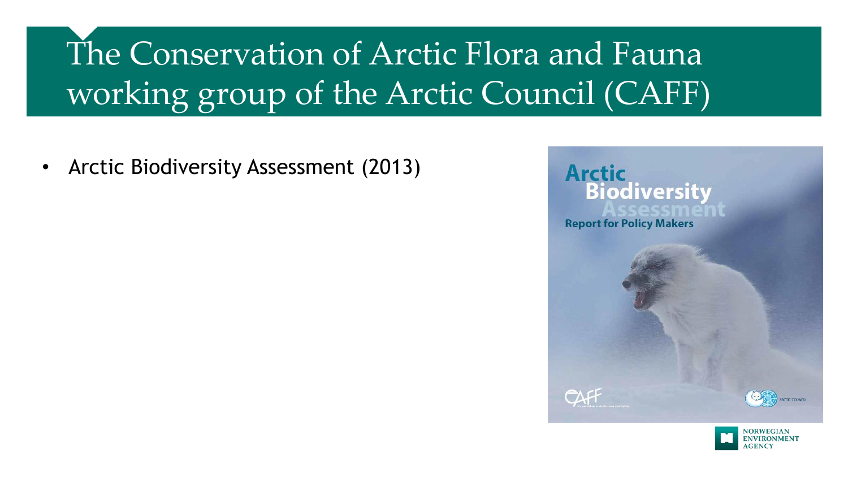• Arctic Biodiversity Assessment (2013)



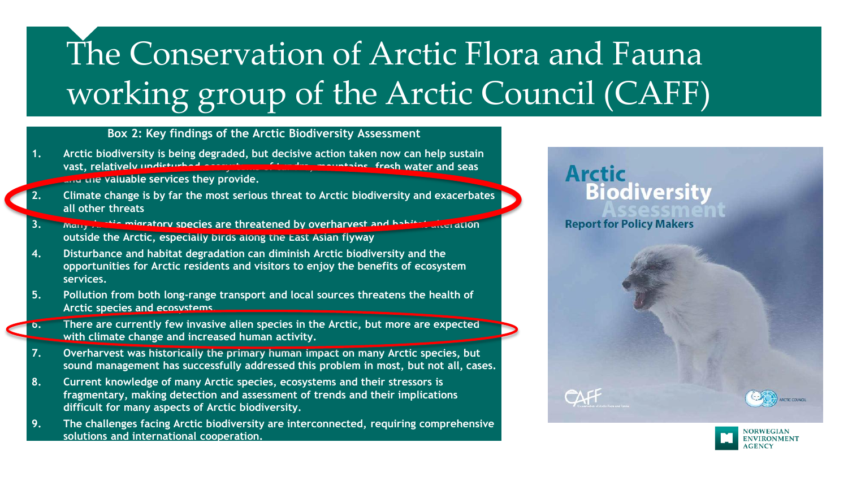#### **Box 2: Key findings of the Arctic Biodiversity Assessment**

- **1. Arctic biodiversity is being degraded, but decisive action taken now can help sustain vast, relatively undisturbed ecosystems of tundra, mountains, fresh water and seas and the valuable services they provide.**
- **2. Climate change is by far the most serious threat to Arctic biodiversity and exacerbates all other threats**
- **Many Arctic migratory species are threatened by overharvest and habitat alteration outside the Arctic, especially birds along the East Asian flyway**
- **4. Disturbance and habitat degradation can diminish Arctic biodiversity and the opportunities for Arctic residents and visitors to enjoy the benefits of ecosystem services.**
- **5. Pollution from both long-range transport and local sources threatens the health of Arctic species and ecosystems.**
- **6. There are currently few invasive alien species in the Arctic, but more are expected with climate change and increased human activity.**
- **7. Overharvest was historically the primary human impact on many Arctic species, but sound management has successfully addressed this problem in most, but not all, cases.**
- **8. Current knowledge of many Arctic species, ecosystems and their stressors is fragmentary, making detection and assessment of trends and their implications difficult for many aspects of Arctic biodiversity.**
- **9. The challenges facing Arctic biodiversity are interconnected, requiring comprehensive solutions and international cooperation.**

### **Arctic Biodiversity Report for Policy Makers**

CAFF



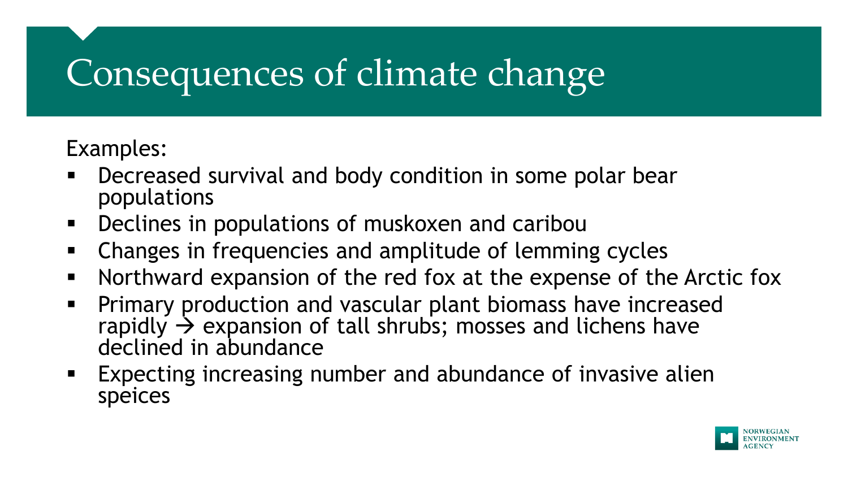## Consequences of climate change

Examples:

- Decreased survival and body condition in some polar bear populations
- **Declines in populations of muskoxen and cariboully**
- Changes in frequencies and amplitude of lemming cycles
- Northward expansion of the red fox at the expense of the Arctic fox
- **Primary production and vascular plant biomass have increased** rapidly  $\rightarrow$  expansion of tall shrubs; mosses and lichens have declined in abundance
- **EXPECTING INCREAST ENGINEER 19 INCREAST EXPECTING INCREAST PROPERTY** Expecting increasing number and abundance of invasive alien speices

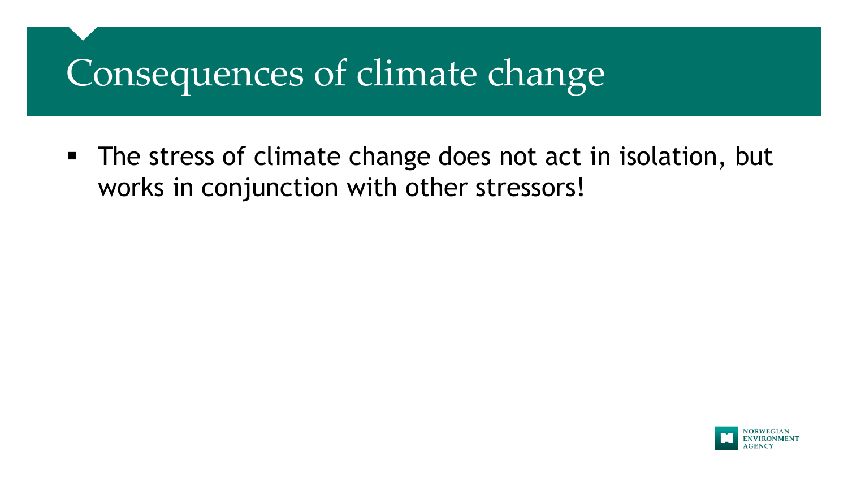### Consequences of climate change

 The stress of climate change does not act in isolation, but works in conjunction with other stressors!

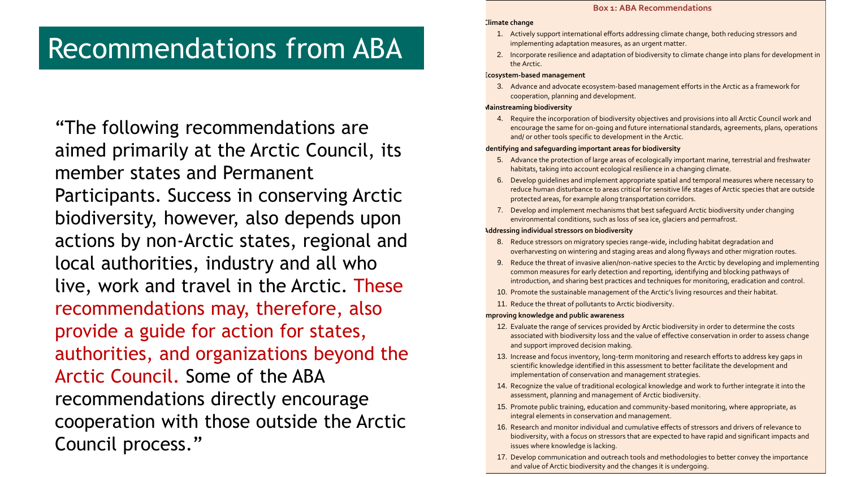### Recommendations from ABA

"The following recommendations are aimed primarily at the Arctic Council, its member states and Permanent Participants. Success in conserving Arctic biodiversity, however, also depends upon actions by non-Arctic states, regional and local authorities, industry and all who live, work and travel in the Arctic. These recommendations may, therefore, also provide a guide for action for states, authorities, and organizations beyond the Arctic Council. Some of the ABA recommendations directly encourage cooperation with those outside the Arctic Council process."

#### **Box 1: ABA Recommendations**

#### **Climate change**

- 1. Actively support international efforts addressing climate change, both reducing stressors and implementing adaptation measures, as an urgent matter.
- 2. Incorporate resilience and adaptation of biodiversity to climate change into plans for development in the Arctic.

#### **Ecosystem-based management**

3. Advance and advocate ecosystem-based management efforts in the Arctic as a framework for cooperation, planning and development.

#### **Mainstreaming biodiversity**

4. Require the incorporation of biodiversity objectives and provisions into all Arctic Council work and encourage the same for on-going and future international standards, agreements, plans, operations and/ or other tools specific to development in the Arctic.

#### **Identifying and safeguarding important areas for biodiversity**

- 5. Advance the protection of large areas of ecologically important marine, terrestrial and freshwater habitats, taking into account ecological resilience in a changing climate.
- 6. Develop guidelines and implement appropriate spatial and temporal measures where necessary to reduce human disturbance to areas critical for sensitive life stages of Arctic species that are outside protected areas, for example along transportation corridors.
- 7. Develop and implement mechanisms that best safeguard Arctic biodiversity under changing environmental conditions, such as loss of sea ice, glaciers and permafrost.

#### **Addressing individual stressors on biodiversity**

- 8. Reduce stressors on migratory species range-wide, including habitat degradation and overharvesting on wintering and staging areas and along flyways and other migration routes.
- 9. Reduce the threat of invasive alien/non-native species to the Arctic by developing and implementing common measures for early detection and reporting, identifying and blocking pathways of introduction, and sharing best practices and techniques for monitoring, eradication and control.
- 10. Promote the sustainable management of the Arctic's living resources and their habitat.
- 11. Reduce the threat of pollutants to Arctic biodiversity.

#### **Improving knowledge and public awareness**

- 12. Evaluate the range of services provided by Arctic biodiversity in order to determine the costs associated with biodiversity loss and the value of effective conservation in order to assess change and support improved decision making.
- 13. Increase and focus inventory, long-term monitoring and research efforts to address key gaps in scientific knowledge identified in this assessment to better facilitate the development and implementation of conservation and management strategies.
- 14. Recognize the value of traditional ecological knowledge and work to further integrate it into the assessment, planning and management of Arctic biodiversity.
- 15. Promote public training, education and community-based monitoring, where appropriate, as integral elements in conservation and management.
- 16. Research and monitor individual and cumulative effects of stressors and drivers of relevance to biodiversity, with a focus on stressors that are expected to have rapid and significant impacts and issues where knowledge is lacking.
- 17. Develop communication and outreach tools and methodologies to better convey the importance and value of Arctic biodiversity and the changes it is undergoing.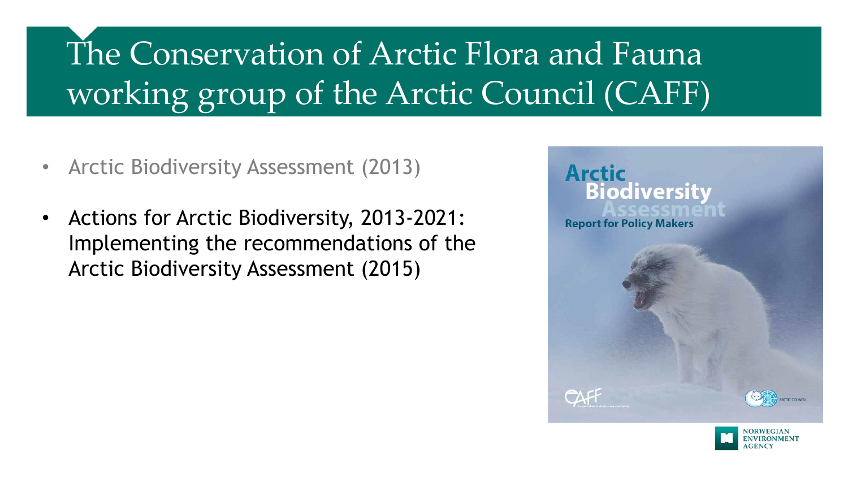- Arctic Biodiversity Assessment (2013)
- Actions for Arctic Biodiversity, 2013-2021: Implementing the recommendations of the Arctic Biodiversity Assessment (2015)



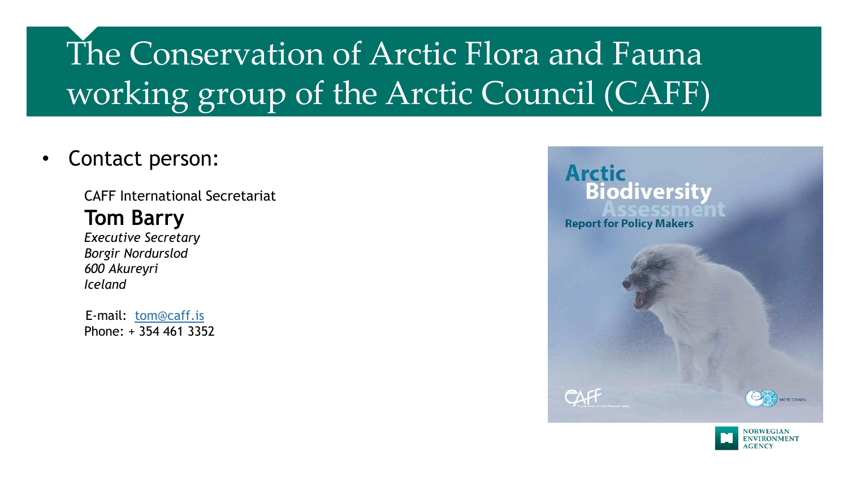• Contact person:

CAFF International Secretariat **Tom Barry** *Executive Secretary Borgir Nordurslod 600 Akureyri Iceland*

 E-mail: [tom@caff.is](mailto:tom@caff.is) Phone: + 354 461 3352



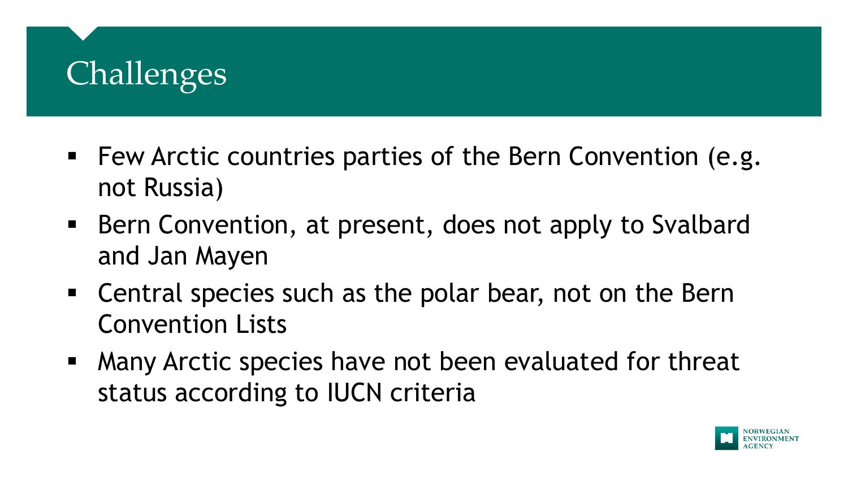### **Challenges**

- **Few Arctic countries parties of the Bern Convention (e.g.** not Russia)
- Bern Convention, at present, does not apply to Svalbard and Jan Mayen
- Central species such as the polar bear, not on the Bern Convention Lists
- Many Arctic species have not been evaluated for threat status according to IUCN criteria